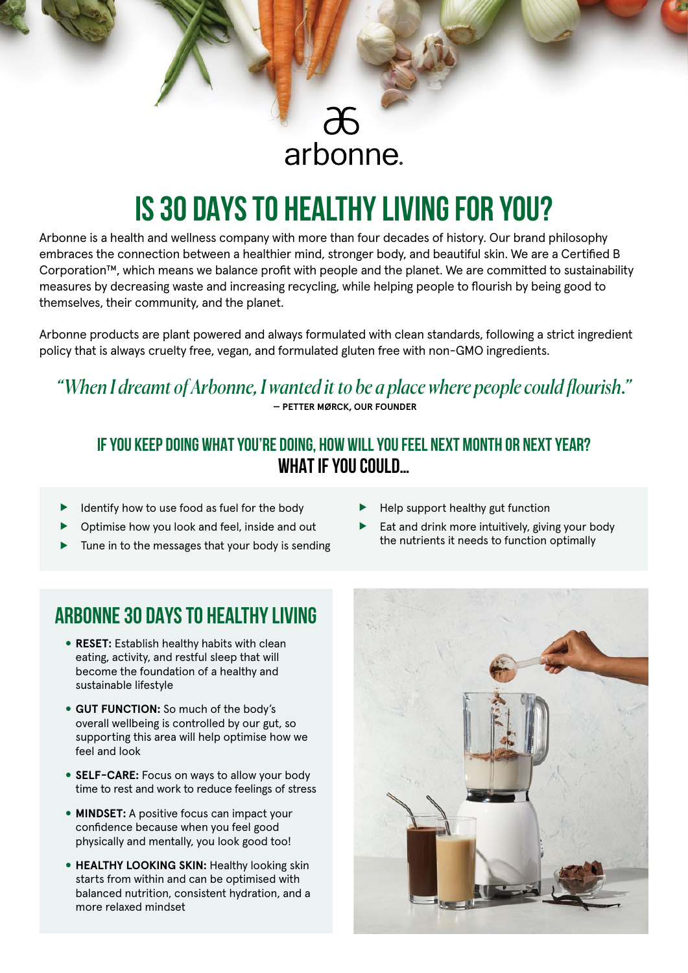# arbonne.

# **IS 30 DAYS TO HEALTHY LIVING FOR YOU?**

Arbonne is a health and wellness company with more than four decades of history. Our brand philosophy embraces the connection between a healthier mind, stronger body, and beautiful skin. We are a Certified B Corporation™, which means we balance profit with people and the planet. We are committed to sustainability measures by decreasing waste and increasing recycling, while helping people to flourish by being good to themselves, their community, and the planet.

Arbonne products are plant powered and always formulated with clean standards, following a strict ingredient policy that is always cruelty free, vegan, and formulated gluten free with non-GMO ingredients.

### *"When I dreamt of Arbonne, I wanted it to be a place where people could flourish."*  **— PETTER MØRCK, OUR FOUNDER**

### **IF YOU KEEP DOING WHAT YOU'RE DOING, HOW WILL YOU FEEL NEXT MONTH OR NEXT YEAR? WHAT IF YOU COULD…**

- Identify how to use food as fuel for the body
- Optimise how you look and feel, inside and out
- Tune in to the messages that your body is sending
- Help support healthy gut function
- $\blacktriangleright$  Eat and drink more intuitively, giving your body the nutrients it needs to function optimally

## **ARBONNE 30 DAYS TO HEALTHY LIVING**

- **RESET:** Establish healthy habits with clean eating, activity, and restful sleep that will become the foundation of a healthy and sustainable lifestyle
- **GUT FUNCTION:** So much of the body's overall wellbeing is controlled by our gut, so supporting this area will help optimise how we feel and look
- **SELF-CARE:** Focus on ways to allow your body time to rest and work to reduce feelings of stress
- **MINDSET:** A positive focus can impact your confidence because when you feel good physically and mentally, you look good too!
- **HEALTHY LOOKING SKIN: Healthy looking skin** starts from within and can be optimised with balanced nutrition, consistent hydration, and a more relaxed mindset

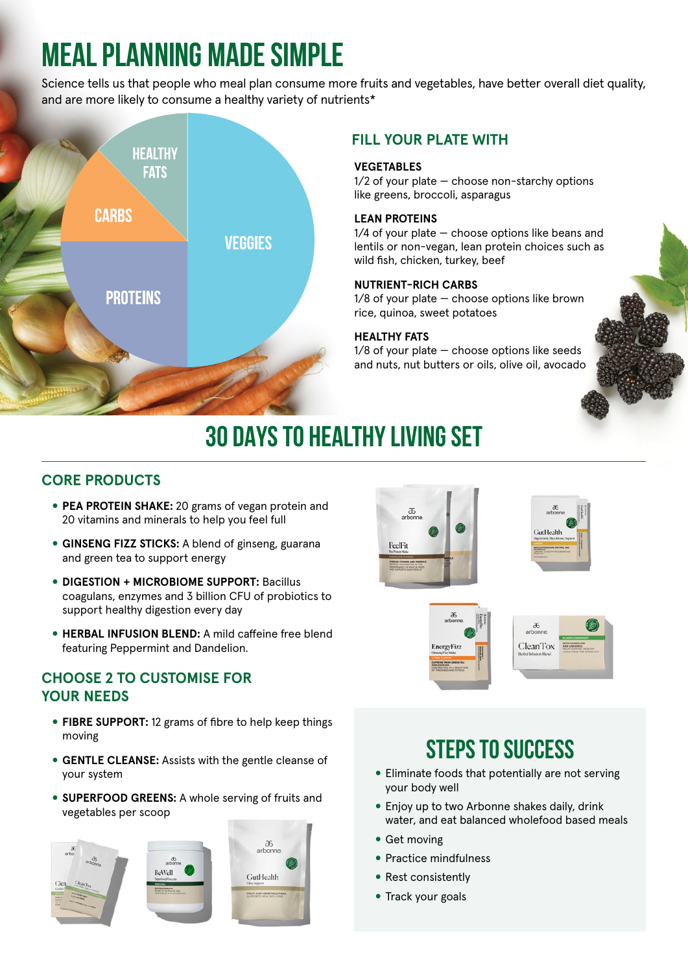# **MEAL PLANNING MADE SIMPLE**

Science tells us that people who meal plan consume more fruits and vegetables, have better overall diet quality, and are more likely to consume a healthy variety of nutrients\*



### **FILL YOUR PLATE WITH**

### **VEGETABLES**

1/2 of your plate — choose non-starchy options like greens, broccoli, asparagus

### **LEAN PROTEINS**

1/4 of your plate — choose options like beans and lentils or non-vegan, lean protein choices such as wild fish, chicken, turkey, beef

### **NUTRIENT-RICH CARBS**

1/8 of your plate — choose options like brown rice, quinoa, sweet potatoes

### **HEALTHY FATS**

1/8 of your plate — choose options like seeds and nuts, nut butters or oils, olive oil, avocado

# **30 DAYS TO HEALTHY LIVING SET**

### **CORE PRODUCTS**

- **PEA PROTEIN SHAKE:** 20 grams of vegan protein and 20 vitamins and minerals to help you feel full
- **GINSENG FIZZ STICKS:** A blend of ginseng, guarana and green tea to support energy
- **DIGESTION + MICROBIOME SUPPORT:** Bacillus coagulans, enzymes and 3 billion CFU of probiotics to support healthy digestion every day
- **HERBAL INFUSION BLEND:** A mild caffeine free blend featuring Peppermint and Dandelion.

### **CHOOSE 2 TO CUSTOMISE FOR YOUR NEEDS**

- **FIBRE SUPPORT:** 12 grams of fibre to help keep things moving
- **GENTLE CLEANSE:** Assists with the gentle cleanse of your system
- **SUPERFOOD GREENS:** A whole serving of fruits and vegetables per scoop





**EnergyFizz** 



## **STEPS TO SUCCESS**

- Eliminate foods that potentially are not serving your body well
- Enjoy up to two Arbonne shakes daily, drink water, and eat balanced wholefood based meals
- Get moving
- Practice mindfulness
- Rest consistently
- Track your goals